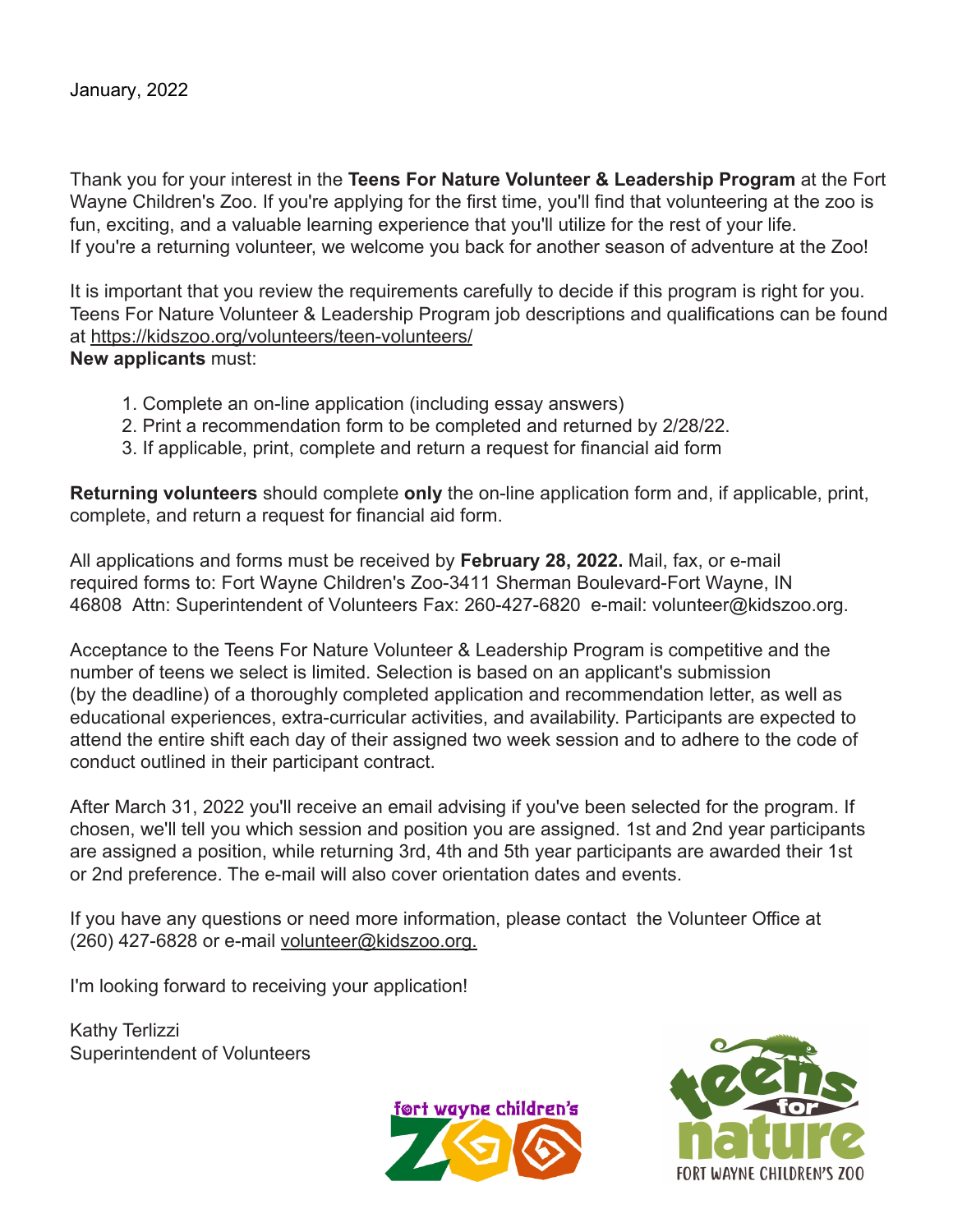Thank you for your interest in the **Teens For Nature Volunteer & Leadership Program** at the Fort Wayne Children's Zoo. If you're applying for the first time, you'll find that volunteering at the zoo is fun, exciting, and a valuable learning experience that you'll utilize for the rest of your life. If you're a returning volunteer, we welcome you back for another season of adventure at the Zoo!

It is important that you review the requirements carefully to decide if this program is right for you. Teens For Nature Volunteer & Leadership Program job descriptions and qualifications can be found at https://kidszoo.org/volunteers/teen-volunteers/ **New applicants** must:

- 1. Complete an on-line application (including essay answers)
- 2. Print a recommendation form to be completed and returned by 2/28/22.
- 3. If applicable, print, complete and return a request for financial aid form

**Returning volunteers** should complete **only** the on-line application form and, if applicable, print, complete, and return a request for financial aid form.

All applications and forms must be received by **February 28, 2022.** Mail, fax, or e-mail required forms to: Fort Wayne Children's Zoo-3411 Sherman Boulevard-Fort Wayne, IN 46808 Attn: Superintendent of Volunteers Fax: 260-427-6820 e-mail: volunteer@kidszoo.org.

Acceptance to the Teens For Nature Volunteer & Leadership Program is competitive and the number of teens we select is limited. Selection is based on an applicant's submission (by the deadline) of a thoroughly completed application and recommendation letter, as well as educational experiences, extra-curricular activities, and availability. Participants are expected to attend the entire shift each day of their assigned two week session and to adhere to the code of conduct outlined in their participant contract.

After March 31, 2022 you'll receive an email advising if you've been selected for the program. If chosen, we'll tell you which session and position you are assigned. 1st and 2nd year participants are assigned a position, while returning 3rd, 4th and 5th year participants are awarded their 1st or 2nd preference. The e-mail will also cover orientation dates and events.

If you have any questions or need more information, please contact the Volunteer Office at (260) 427-6828 or e-mail volunteer@kidszoo.org.

I'm looking forward to receiving your application!

Kathy Terlizzi Superintendent of Volunteers



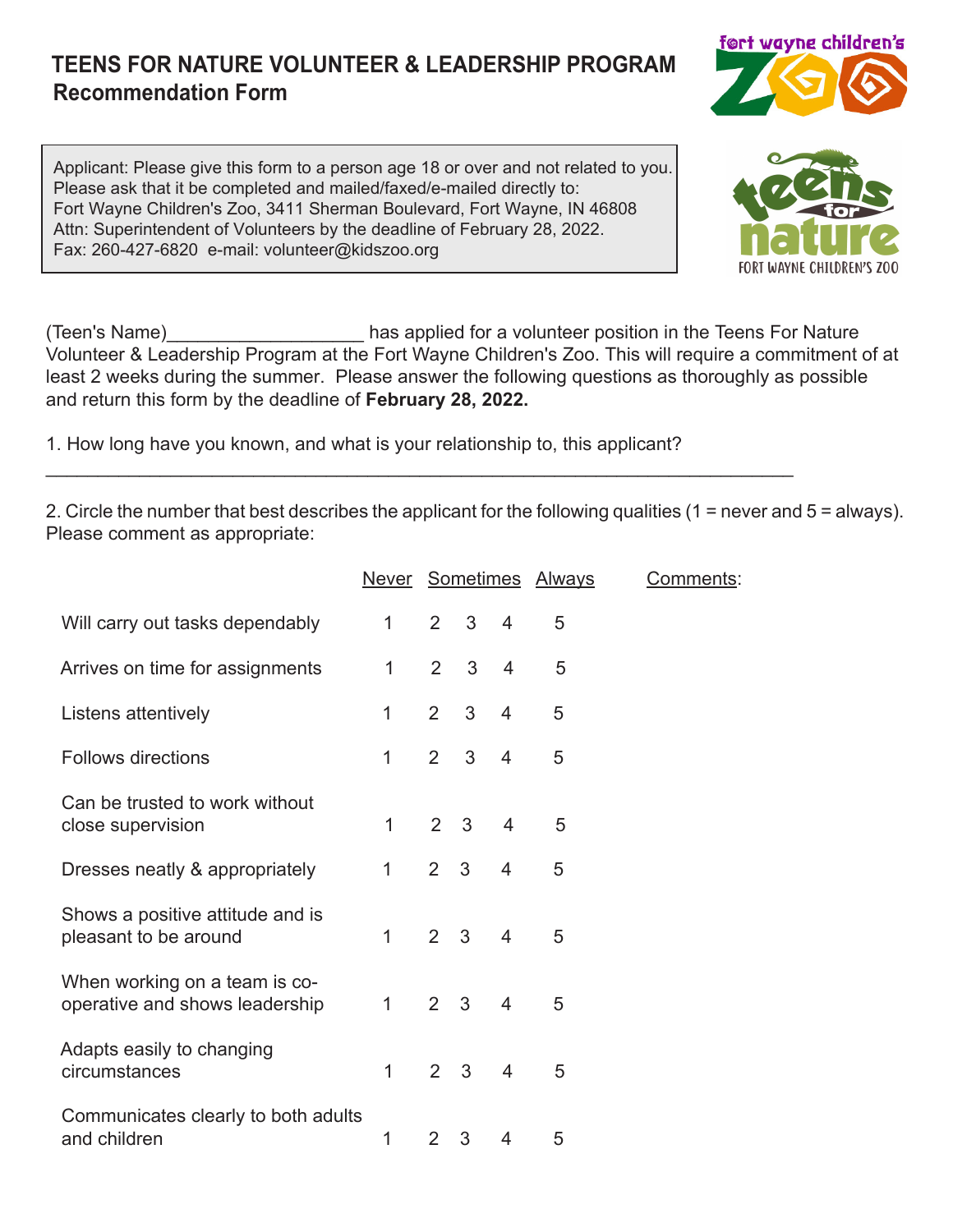## **TEENS FOR NATURE VOLUNTEER & LEADERSHIP PROGRAM Recommendation Form**

Applicant: Please give this form to a person age 18 or over and not related to you. Please ask that it be completed and mailed/faxed/e-mailed directly to: Fort Wayne Children's Zoo, 3411 Sherman Boulevard, Fort Wayne, IN 46808 Attn: Superintendent of Volunteers by the deadline of February 28, 2022. Fax: 260-427-6820 e-mail: volunteer@kidszoo.org

(Teen's Name)\_\_\_\_\_\_\_\_\_\_\_\_\_\_\_\_\_\_\_ has applied for a volunteer position in the Teens For Nature Volunteer & Leadership Program at the Fort Wayne Children's Zoo. This will require a commitment of at least 2 weeks during the summer. Please answer the following questions as thoroughly as possible and return this form by the deadline of **February 28, 2022.**

1. How long have you known, and what is your relationship to, this applicant?

\_\_\_\_\_\_\_\_\_\_\_\_\_\_\_\_\_\_\_\_\_\_\_\_\_\_\_\_\_\_\_\_\_\_\_\_\_\_\_\_\_\_\_\_\_\_\_\_\_\_\_\_\_\_\_\_\_\_\_\_\_\_\_\_\_\_\_\_\_\_\_\_

2. Circle the number that best describes the applicant for the following qualities (1 = never and 5 = always). Please comment as appropriate:

|                                                                 |              |                |                |                | Never Sometimes Always | <u>Comments</u> : |
|-----------------------------------------------------------------|--------------|----------------|----------------|----------------|------------------------|-------------------|
| Will carry out tasks dependably                                 | $\mathbf{1}$ | $2^{\circ}$    | 3 <sup>7</sup> | $\overline{4}$ | 5                      |                   |
| Arrives on time for assignments                                 | $\mathbf{1}$ | $\overline{2}$ | 3              | $\overline{4}$ | 5                      |                   |
| Listens attentively                                             | 1            | $2^{\circ}$    | 3              | $\overline{4}$ | 5                      |                   |
| <b>Follows directions</b>                                       | 1            | $2^{\circ}$    | 3              | $\overline{4}$ | 5                      |                   |
| Can be trusted to work without<br>close supervision             | $\mathbf{1}$ | $2^{\circ}$    | $\mathbf{3}$   | $\overline{4}$ | 5                      |                   |
| Dresses neatly & appropriately                                  | $\mathbf{1}$ |                | $2 \quad 3$    | $\overline{4}$ | 5                      |                   |
| Shows a positive attitude and is<br>pleasant to be around       | 1            | $2 \quad 3$    |                | $\overline{4}$ | 5                      |                   |
| When working on a team is co-<br>operative and shows leadership | $\mathbf 1$  | $2 \quad 3$    |                | $\overline{4}$ | 5                      |                   |
| Adapts easily to changing<br>circumstances                      | 1            | $2^{\circ}$    | $\mathbf{3}$   | $\overline{4}$ | 5                      |                   |
| Communicates clearly to both adults<br>and children             | 1            | $\overline{2}$ | 3              | 4              | 5                      |                   |